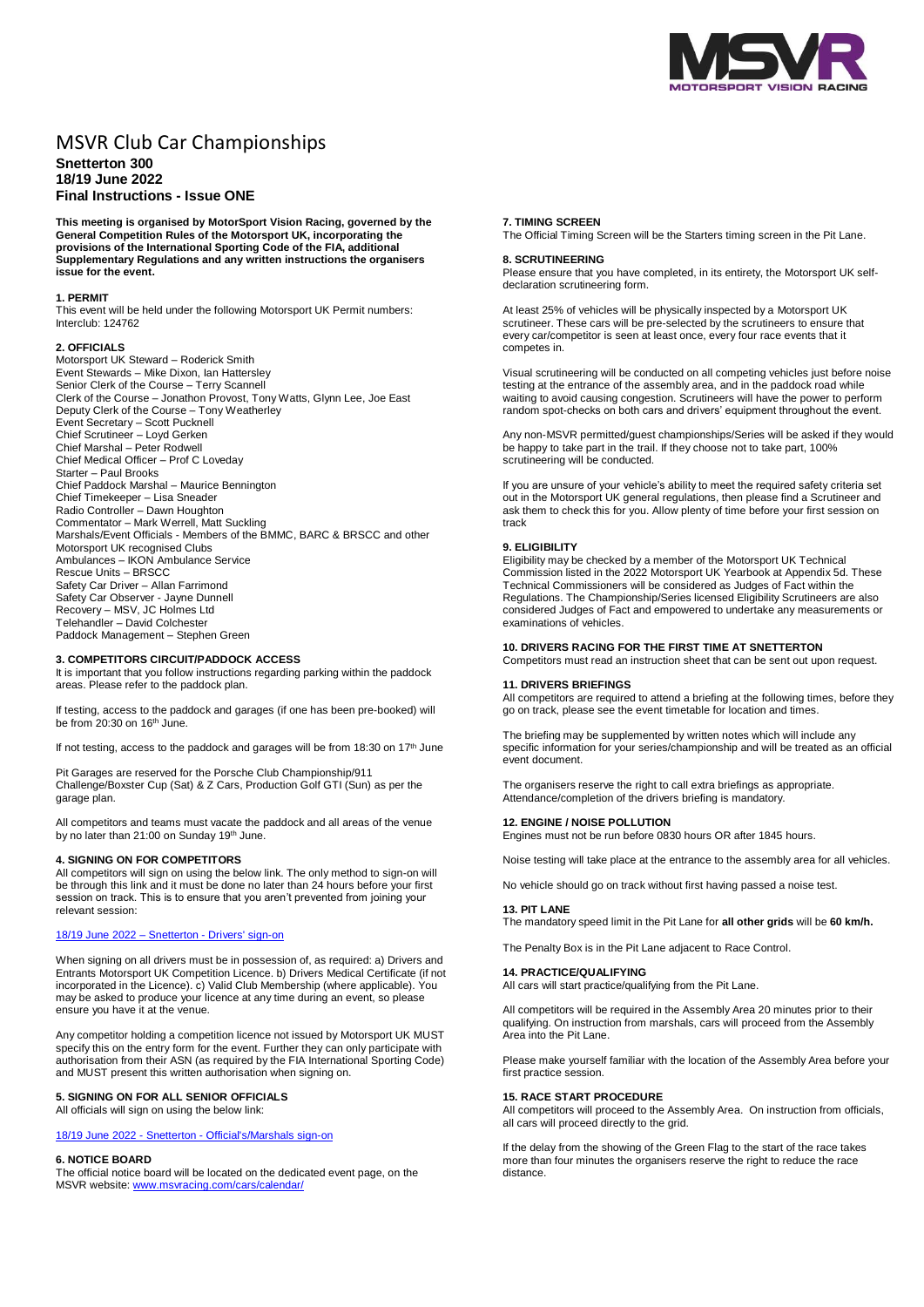

# MSVR Club Car Championships

**Snetterton 300 18/19 June 2022 Final Instructions - Issue ONE**

**This meeting is organised by MotorSport Vision Racing, governed by the General Competition Rules of the Motorsport UK, incorporating the provisions of the International Sporting Code of the FIA, additional Supplementary Regulations and any written instructions the organisers issue for the event.**

## **1. PERMIT**

This event will be held under the following Motorsport UK Permit numbers: Interclub: 124762

#### **2. OFFICIALS**

Motorsport UK Steward – Roderick Smith Event Stewards – Mike Dixon, Ian Hattersley Senior Clerk of the Course – Terry Scannell Clerk of the Course – Jonathon Provost, Tony Watts, Glynn Lee, Joe East Deputy Clerk of the Course – Tony Weatherley Event Secretary – Scott Pucknell Chief Scrutineer – Loyd Gerken Chief Marshal – Peter Rodwell Chief Medical Officer – Prof C Loveday Starter – Paul Brooks Chief Paddock Marshal – Maurice Bennington Chief Timekeeper – Lisa Sneader Radio Controller – Dawn Houghton Commentator – Mark Werrell, Matt Suckling Marshals/Event Officials - Members of the BMMC, BARC & BRSCC and other Motorsport UK recognised Clubs Ambulances – IKON Ambulance Service Rescue Units – BRSCC Safety Car Driver – Allan Farrimond Safety Car Observer - Jayne Dunnell Recovery – MSV, JC Holmes Ltd Telehandler – David Colchester Paddock Management – Stephen Green

#### **3. COMPETITORS CIRCUIT/PADDOCK ACCESS**

It is important that you follow instructions regarding parking within the paddock areas. Please refer to the paddock plan.

If testing, access to the paddock and garages (if one has been pre-booked) will be from 20:30 on 16<sup>th</sup> June.

If not testing, access to the paddock and garages will be from 18:30 on 17<sup>th</sup> June

Pit Garages are reserved for the Porsche Club Championship/911 Challenge/Boxster Cup (Sat) & Z Cars, Production Golf GTI (Sun) as per the garage plan.

All competitors and teams must vacate the paddock and all areas of the venue by no later than 21:00 on Sunday 19th June.

# **4. SIGNING ON FOR COMPETITORS**

All competitors will sign on using the below link. The only method to sign-on will be through this link and it must be done no later than 24 hours before your first session on track. This is to ensure that you aren't prevented from joining your relevant session:

#### 18/19 June 2022 – Snetterton - [Drivers' sign-on](https://racing.msv.com/CheckIn/6f77008a-2aeb-4413-88e4-e49957a5e77f)

When signing on all drivers must be in possession of, as required: a) Drivers and Entrants Motorsport UK Competition Licence. b) Drivers Medical Certificate (if not incorporated in the Licence). c) Valid Club Membership (where applicable). You may be asked to produce your licence at any time during an event, so please ensure you have it at the venue.

Any competitor holding a competition licence not issued by Motorsport UK MUST specify this on the entry form for the event. Further they can only participate with authorisation from their ASN (as required by the FIA International Sporting Code) and MUST present this written authorisation when signing on.

# **5. SIGNING ON FOR ALL SENIOR OFFICIALS**

All officials will sign on using the below link:

18/19 June 2022 - Snetterton - [Official's/Marshals sign-on](https://racing.msv.com/CheckIn/Officals/6f77008a-2aeb-4413-88e4-e49957a5e77f)

#### **6. NOTICE BOARD**

The official notice board will be located on the dedicated event page, on the MSVR website: [www.msvracing.com/cars/calendar/](http://www.msvracing.com/cars/calendar/)

#### **7. TIMING SCREEN**

The Official Timing Screen will be the Starters timing screen in the Pit Lane.

#### **8. SCRUTINEERING**

Please ensure that you have completed, in its entirety, the Motorsport UK selfdeclaration scrutineering form.

At least 25% of vehicles will be physically inspected by a Motorsport UK scrutineer. These cars will be pre-selected by the scrutineers to ensure that every car/competitor is seen at least once, every four race events that it competes in.

Visual scrutineering will be conducted on all competing vehicles just before noise testing at the entrance of the assembly area, and in the paddock road while waiting to avoid causing congestion. Scrutineers will have the power to perform random spot-checks on both cars and drivers' equipment throughout the event.

Any non-MSVR permitted/guest championships/Series will be asked if they would be happy to take part in the trail. If they choose not to take part, 100% scrutineering will be conducted.

If you are unsure of your vehicle's ability to meet the required safety criteria set out in the Motorsport UK general regulations, then please find a Scrutineer and ask them to check this for you. Allow plenty of time before your first session on track

#### **9. ELIGIBILITY**

Eligibility may be checked by a member of the Motorsport UK Technical Commission listed in the 2022 Motorsport UK Yearbook at Appendix 5d. These Technical Commissioners will be considered as Judges of Fact within the Regulations. The Championship/Series licensed Eligibility Scrutineers are also considered Judges of Fact and empowered to undertake any measurements or examinations of vehicles.

#### **10. DRIVERS RACING FOR THE FIRST TIME AT SNETTERTON**

Competitors must read an instruction sheet that can be sent out upon request.

#### **11. DRIVERS BRIEFINGS**

All competitors are required to attend a briefing at the following times, before they go on track, please see the event timetable for location and times.

The briefing may be supplemented by written notes which will include any specific information for your series/championship and will be treated as an official event document.

The organisers reserve the right to call extra briefings as appropriate. Attendance/completion of the drivers briefing is mandatory.

## **12. ENGINE / NOISE POLLUTION**

Engines must not be run before 0830 hours OR after 1845 hours.

Noise testing will take place at the entrance to the assembly area for all vehicles.

No vehicle should go on track without first having passed a noise test.

#### **13. PIT LANE**

The mandatory speed limit in the Pit Lane for **all other grids** will be **60 km/h.**

The Penalty Box is in the Pit Lane adjacent to Race Control.

#### **14. PRACTICE/QUALIFYING**

All cars will start practice/qualifying from the Pit Lane.

All competitors will be required in the Assembly Area 20 minutes prior to their qualifying. On instruction from marshals, cars will proceed from the Assembly Area into the Pit Lane.

Please make yourself familiar with the location of the Assembly Area before your first practice session.

#### **15. RACE START PROCEDURE**

All competitors will proceed to the Assembly Area. On instruction from officials, all cars will proceed directly to the grid.

If the delay from the showing of the Green Flag to the start of the race takes more than four minutes the organisers reserve the right to reduce the race distance.